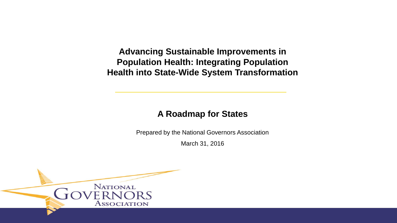**Advancing Sustainable Improvements in Population Health: Integrating Population Health into State-Wide System Transformation**

# **A Roadmap for States**

Prepared by the National Governors Association

March 31, 2016

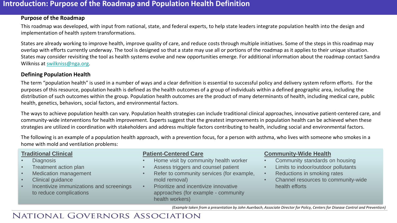### **Introduction: Purpose of the Roadmap and Population Health Definition**

#### **Purpose of the Roadmap**

This roadmap was developed, with input from national, state, and federal experts, to help state leaders integrate population health into the design and implementation of health system transformations.

States are already working to improve health, improve quality of care, and reduce costs through multiple initiatives. Some of the steps in this roadmap may overlap with efforts currently underway. The tool is designed so that a state may use all or portions of the roadmap as it applies to their unique situation. States may consider revisiting the tool as health systems evolve and new opportunities emerge. For additional information about the roadmap contact Sandra Wilkniss at [swilkniss@nga.org.](mailto:swilkniss@nga.org)

#### **Defining Population Health**

The term "population health" is used in a number of ways and a clear definition is essential to successful policy and delivery system reform efforts. For the purposes of this resource, population health is defined as the health outcomes of a group of individuals within a defined geographic area, including the distribution of such outcomes within the group. Population health outcomes are the product of many determinants of health, including medical care, public health, genetics, behaviors, social factors, and environmental factors.

The ways to achieve population health can vary. Population health strategies can include traditional clinical approaches, innovative patient-centered care, and community-wide interventions for health improvement. Experts suggest that the greatest improvements in population health can be achieved when these strategies are utilized in coordination with stakeholders and address multiple factors contributing to health, including social and environmental factors.

The following is an example of a population health approach, with a prevention focus, for a person with asthma, who lives with someone who smokes in a home with mold and ventilation problems:

### **Traditional Clinical**

- Diagnosis
- Treatment action plan
- Medication management
- Clinical guidance
- Incentivize immunizations and screenings to reduce complications

### **Patient-Centered Care**

- Home visit by community health worker
- Assess triggers and counsel patient
- Refer to community services (for example, mold removal)
- Prioritize and incentivize innovative approaches (for example - community health workers)

### **Community-Wide Health**

- Community standards on housing
- Limits to indoor/outdoor pollutants
- Reductions in smoking rates
- Channel resources to community-wide health efforts

*(Example taken from a presentation by John Auerbach, Associate Director for Policy, Centers for Disease Control and Prevention)*

# **NATIONAL GOVERNORS ASSOCIATION**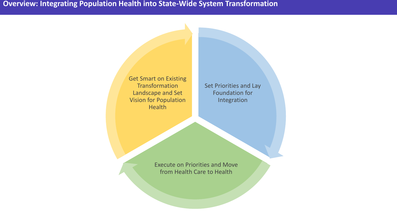**Overview: Integrating Population Health into State-Wide System Transformation**

Get Smart on Existing **Transformation** Landscape and Set Vision for Population **Health** 

Set Priorities and Lay Foundation for Integration

Execute on Priorities and Move from Health Care to Health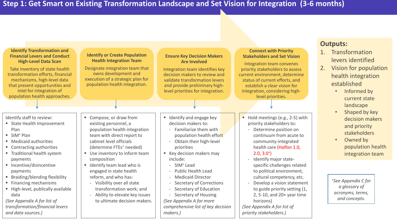| <b>Identify Transformation and</b><br><b>Financial Levers and Conduct</b><br><b>High-Level Data Scan</b><br>Take inventory of state health<br>transformation efforts, financial<br>mechanisms, high-level data<br>that present opportunities and<br>intel for integration of<br>population health approaches. | <b>Identify or Create Population</b><br><b>Health Integration Team</b><br>Designate integration team that<br>owns development and<br>execution of a strategic plan for<br>population health integration.                | <b>Ensure Key Decision Makers</b><br><b>Are Involved</b><br>Integration team identifies key<br>decision makers to review and<br>validate transformation levers<br>and provide preliminary high-<br>level priorities for integration.        | <b>Connect with Priority</b><br><b>Stakeholders and Set Vision</b><br>Integration team convenes<br>priority stakeholders to assess<br>current environment, determine<br>status of current efforts, and<br>establish a clear vision for<br>integration, considering high-<br>level priorities. | <b>Outputs:</b><br>Transformation<br>1.<br>levers identified<br>Vision for population<br>2.<br>health integration<br>established<br>Informed by<br>$\bullet$<br>current state<br>landscape |
|---------------------------------------------------------------------------------------------------------------------------------------------------------------------------------------------------------------------------------------------------------------------------------------------------------------|-------------------------------------------------------------------------------------------------------------------------------------------------------------------------------------------------------------------------|---------------------------------------------------------------------------------------------------------------------------------------------------------------------------------------------------------------------------------------------|-----------------------------------------------------------------------------------------------------------------------------------------------------------------------------------------------------------------------------------------------------------------------------------------------|--------------------------------------------------------------------------------------------------------------------------------------------------------------------------------------------|
| Identify staff to review:<br>■ State Health Improvement<br>Plan<br>$\blacksquare$ SIM <sup>+</sup> Plan<br>■ Medicaid authorities<br>■ Contracting authorities<br>■ Traditional health system                                                                                                                 | Compose, or draw from<br>existing personnel, a<br>population health integration<br>team with direct report to<br>cabinet level officials<br>(determine FTEs <sup>+</sup> needed)<br>Use inventory to inform team<br>п.  | ■ Identify and engage key<br>decision makers to:<br>- Familiarize them with<br>population health effort<br>- Obtain their high-level<br>priorities<br>■ Key decision makers may<br>include:                                                 | Hold meetings (e.g., 2-5) with<br>priority stakeholders to:<br>Determine position on<br>continuum from acute to<br>community-integrated<br>health care (Halfon 1.0,<br>$2.0, 3.0^{+}$<br>Identify major state-                                                                                | Shaped by key<br>$\bullet$<br>decision makers<br>and priority<br>stakeholders<br>Owned by<br>$\bullet$<br>population health<br>integration team                                            |
| payments<br>■ Incentive/disincentive<br>payments<br>■ Braiding/blending flexibility<br>■ Financing mechanisms<br>High-level, publically available<br>data<br>(See Appendix A for list of<br>transformation/financial levers<br>and data sources.)                                                             | composition<br>Identify team lead who is<br>engaged in state health<br>reform, and who has:<br>- Visibility over all state<br>transformation work; and<br>Ability to elevate key issues<br>to ultimate decision makers. | - SIM <sup>+</sup> Lead<br><b>Public Health Lead</b><br>- Medicaid Director<br>- Secretary of Corrections<br>- Secretary of Education<br>Secretary of Housing<br>(See Appendix A for more<br>comprehensive list of key decision<br>makers.) | specific challenges related<br>to political environment,<br>cultural competency, etc.<br>Develop a vision statement<br>to guide priority setting (1,<br>2, 5-10, and 20+ year time<br>horizons)<br>(See Appendix A for list of<br>priority stakeholders.)                                     | *See Appendix C for<br>a glossary of<br>acronyms, terms,<br>and concepts.                                                                                                                  |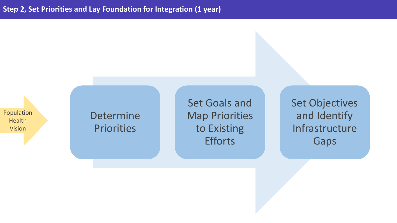Population Health Vision

Determine Priorities

Set Goals and Map Priorities to Existing **Efforts** 

Set Objectives and Identify Infrastructure Gaps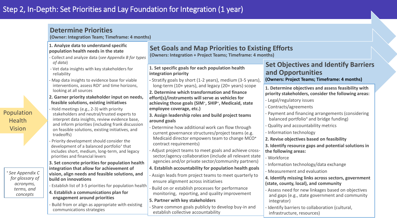|                                                                                                                            | <b>Determine Priorities</b><br>(Owner: Integration Team; Timeframe: 4 months)                                                                                                                                                                                                                                                                                                                                                                                                                                                                                                                                                                                                                                                                                                                                                                                                                                                                                   |                                                                                                                                                                                                                                                                                                                                                                                                                                                                                                                                                                                                                                                                                                                                                                                                                                                                                                                                                                                     |                                                                                                                                                                                                                                                                                                                                                                                                                                                                                                                                                                                                                                                                                                                                                                         |  |  |
|----------------------------------------------------------------------------------------------------------------------------|-----------------------------------------------------------------------------------------------------------------------------------------------------------------------------------------------------------------------------------------------------------------------------------------------------------------------------------------------------------------------------------------------------------------------------------------------------------------------------------------------------------------------------------------------------------------------------------------------------------------------------------------------------------------------------------------------------------------------------------------------------------------------------------------------------------------------------------------------------------------------------------------------------------------------------------------------------------------|-------------------------------------------------------------------------------------------------------------------------------------------------------------------------------------------------------------------------------------------------------------------------------------------------------------------------------------------------------------------------------------------------------------------------------------------------------------------------------------------------------------------------------------------------------------------------------------------------------------------------------------------------------------------------------------------------------------------------------------------------------------------------------------------------------------------------------------------------------------------------------------------------------------------------------------------------------------------------------------|-------------------------------------------------------------------------------------------------------------------------------------------------------------------------------------------------------------------------------------------------------------------------------------------------------------------------------------------------------------------------------------------------------------------------------------------------------------------------------------------------------------------------------------------------------------------------------------------------------------------------------------------------------------------------------------------------------------------------------------------------------------------------|--|--|
|                                                                                                                            | 1. Analyze data to understand specific<br>population health needs in the state<br>- Collect and analyze data (see Appendix B for types                                                                                                                                                                                                                                                                                                                                                                                                                                                                                                                                                                                                                                                                                                                                                                                                                          | <b>Set Goals and Map Priorities to Existing Efforts</b><br>(Owners: Integration + Project Teams; Timeframe: 4 months)                                                                                                                                                                                                                                                                                                                                                                                                                                                                                                                                                                                                                                                                                                                                                                                                                                                               |                                                                                                                                                                                                                                                                                                                                                                                                                                                                                                                                                                                                                                                                                                                                                                         |  |  |
|                                                                                                                            | of data)<br>- Vet data insights with key stakeholders for<br>reliability<br>- Map data insights to evidence base for viable                                                                                                                                                                                                                                                                                                                                                                                                                                                                                                                                                                                                                                                                                                                                                                                                                                     | 1. Set specific goals for each population health<br>integration priority<br>- Stratify goals by short (1-2 years), medium (3-5 years),                                                                                                                                                                                                                                                                                                                                                                                                                                                                                                                                                                                                                                                                                                                                                                                                                                              | <b>Set Objectives and Identify Barriers</b><br>and Opportunities<br>(Owners: Project Teams; Timeframe: 4 months)                                                                                                                                                                                                                                                                                                                                                                                                                                                                                                                                                                                                                                                        |  |  |
| Population<br><b>Health</b><br><b>Vision</b><br>* See Appendix C<br>for glossary of<br>acronyms,<br>terms, and<br>concepts | interventions, assess ROI <sup>+</sup> and time horizons,<br>looking at all sources<br>2. Garner priority stakeholder input on needs,<br>feasible solutions, existing initiatives<br>Hold meetings (e.g., 2-3) with priority<br>stakeholders and neutral/trusted experts to<br>interpret data insights, review evidence base,<br>and inform priorities (including frank discussion<br>on feasible solutions, existing initiatives, and<br>tradeoffs)<br>- Priority development should consider the<br>development of a balanced portfolio <sup>+</sup> that<br>includes short, medium, long-term, and legacy<br>priorities and financial levers<br>3. Set concrete priorities for population health<br>integration that allow for achievement of<br>vision, align needs and feasible solutions, and<br>build on innovations<br>Establish list of 3-5 priorities for population health<br>4. Establish a communications plan for<br>engagement around priorities | long-term (10+ years), and legacy (20+ years) scope<br>2. Determine which transformation and finance<br>effort(s)/instruments will serve as vehicles for<br>achieving those goals (SIM <sup>+</sup> , SHIP <sup>+</sup> , Medicaid, state<br>employee coverage, etc.)<br>3. Assign leadership roles and build project teams<br>around goals<br>Determine how additional work can flow through<br>current governance structures/project teams (e.g.<br>Medicaid director empowers team to change MCO <sup>+</sup><br>contract requirements)<br>Adjust project teams to meet goals and achieve cross-<br>sector/agency collaboration (include all relevant state<br>agencies and/or private sector/community partners)<br>4. Establish accountability for population health goals<br>Assign leads from project teams to meet quarterly to<br>ensure alignment across initiatives<br>Build on or establish processes for performance<br>monitoring, reporting, and quality improvement | 1. Determine objectives and assess feasibility with<br>priority stakeholders, consider the following areas:<br>- Legal/regulatory issues<br>Contracts/agreements<br>Payment and financing arrangements (considering<br>balanced portfolio <sup>+</sup> and bridge funding)<br>Quality and accountability metrics<br>Information technology<br>2. Revise objectives based on feasibility<br>3. Identify resource gaps and potential solutions in<br>the following areas:<br>- Workforce<br>- Information technology/data exchange<br>- Measurement and evaluation<br>4. Identify missing links across sectors, government<br>(state, county, local), and community<br>Assess need for new linkages based on objectives<br>and gaps (e.g., state government and community |  |  |
|                                                                                                                            | - Build from or align as appropriate with existing<br>communications strategies                                                                                                                                                                                                                                                                                                                                                                                                                                                                                                                                                                                                                                                                                                                                                                                                                                                                                 | 5. Partner with key stakeholders<br>Share common goals publicly to develop buy-in and<br>establish collective accountability                                                                                                                                                                                                                                                                                                                                                                                                                                                                                                                                                                                                                                                                                                                                                                                                                                                        | integrator)<br>Identify barriers to collaboration (cultural,<br>infrastructure, resources)                                                                                                                                                                                                                                                                                                                                                                                                                                                                                                                                                                                                                                                                              |  |  |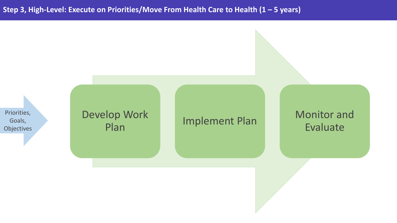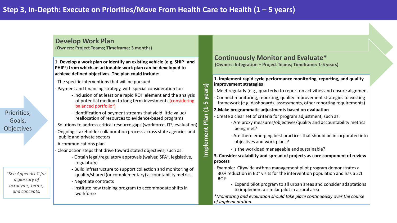#### **Develop Work Plan**

**(Owners: Project Teams; Timeframe: 3 months)**

#### **1. Develop a work plan or identify an existing vehicle (e.g. SHIP**<sup>+</sup> **and PHIP**<sup>+</sup> **) from which an actionable work plan can be developed to achieve defined objectives. The plan could include:**

- The specific interventions that will be pursued
- Payment and financing strategy, with special consideration for:
	- Inclusion of at least one rapid ROI<sup>+</sup> element and the analysis of potential medium to long term investments (considering balanced portfolio<sup>+</sup>)
	- Identification of payment streams that yield little value/ reallocation of resources to evidence-based programs
- Solutions to address critical resource gaps (workforce, IT<sup>+</sup>, evaluation)
- Ongoing stakeholder collaboration process across state agencies and public and private sectors
- A communications plan
- Clear action steps that drive toward stated objectives, such as:
	- Obtain legal/regulatory approvals (waiver, SPA<sup>+</sup>, legislative, regulatory)
	- Build infrastructure to support collection and monitoring of quality/shared (or complementary) accountability metrics
	- Negotiate contracts
	- Institute new training program to accommodate shifts in workforce

#### **Continuously Monitor and Evaluate\* (Owners: Integration + Project Teams; Timeframe: 1-5 years)**

- **1. Implement rapid cycle performance monitoring, reporting, and quality improvement strategies**
- Meet regularly (e.g., quarterly) to report on activities and ensure alignment - Connect monitoring, reporting, quality improvement strategies to existing framework (e.g. dashboards, assessments, other reporting requirements)
- **2.Make programmatic adjustments based on evaluation**

**Implement Plan (1-5 years)**

Implement

 $\overline{15}$ 

veal

 $\mathbf{r}$  $\overline{\mathbf{u}}$  $\blacksquare$  $\overline{P}$ 

- Create a clear set of criteria for program adjustment, such as:
	- Are proxy measures/objectives/quality and accountability metrics being met?
	- Are there emerging best practices that should be incorporated into objectives and work plans?
	- Is the workload manageable and sustainable?
- **3. Consider scalability and spread of projects as core component of review process**
- Example: Citywide asthma management pilot program demonstrates a 30% reduction in ED<sup>+</sup> visits for the intervention population and has a 2:1 ROI<sup>+</sup>
	- Expand pilot program to all urban areas and consider adaptations to implement a similar pilot in a rural area

*\*Monitoring and evaluation should take place continuously over the course of implementation.*

Priorities, Goals, **Objectives** 

> *<sup>+</sup>See Appendix C for a glossary of acronyms, terms, and concepts.*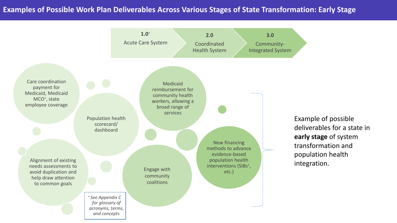### **Examples of Possible Work Plan Deliverables Across Various Stages of State Transformation: Early Stage**

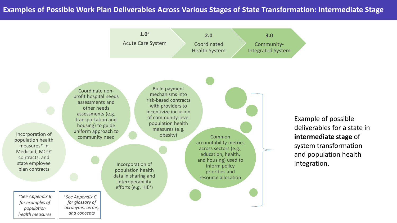### **Examples of Possible Work Plan Deliverables Across Various Stages of State Transformation: Intermediate Stage**



Incorporation of population health data in sharing and interoperability efforts (e.g. HIE<sup>+</sup>) Incorporation of population health measures\* in Medicaid, MCO<sup>+</sup> contracts, and state employee plan contracts Common accountability metrics across sectors (e.g., education, health, and housing) used to inform policy priorities and resource allocation Build payment mechanisms into risk-based contracts with providers to incentivize inclusion of community-level population health measures (e.g. obesity) Coordinate nonprofit hospital needs assessments and other needs assessments (e.g. transportation and housing) to guide uniform approach to community need <sup>+</sup>*See Appendix C for glossary of* 

Example of possible deliverables for a state in **intermediate stage** of system transformation and population health integration.

*\*See Appendix B for examples of population health measures* *acronyms, terms, and concepts*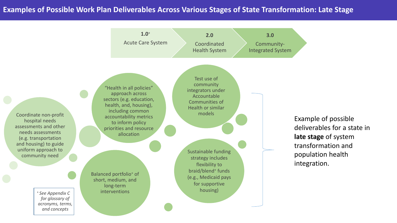### **Examples of Possible Work Plan Deliverables Across Various Stages of State Transformation: Late Stage**

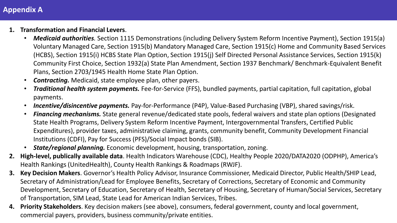# **Appendix A**

- **1. Transformation and Financial Levers**.
	- *Medicaid authorities.* Section 1115 Demonstrations (including Delivery System Reform Incentive Payment), Section 1915(a) Voluntary Managed Care, Section 1915(b) Mandatory Managed Care, Section 1915(c) Home and Community Based Services (HCBS), Section 1915(i) HCBS State Plan Option, Section 1915(j) Self Directed Personal Assistance Services, Section 1915(k) Community First Choice, Section 1932(a) State Plan Amendment, Section 1937 Benchmark/ Benchmark-Equivalent Benefit Plans, Section 2703/1945 Health Home State Plan Option.
	- *Contracting.* Medicaid, state employee plan, other payers.
	- *Traditional health system payments.* Fee-for-Service (FFS), bundled payments, partial capitation, full capitation, global payments.
	- *Incentive/disincentive payments.* Pay-for-Performance (P4P), Value-Based Purchasing (VBP), shared savings/risk.
	- *Financing mechanisms.* State general revenue/dedicated state pools, federal waivers and state plan options (Designated State Health Programs, Delivery System Reform Incentive Payment, Intergovernmental Transfers, Certified Public Expenditures), provider taxes, administrative claiming, grants, community benefit, Community Development Financial Institutions (CDFI), Pay for Success (PFS)/Social Impact bonds (SIB).
	- *State/regional planning.* Economic development, housing, transportation, zoning.
- **2. High-level, publically available data**. Health Indicators Warehouse (CDC), Healthy People 2020/DATA2020 (ODPHP), America's Health Rankings (UnitedHealth), County Health Rankings & Roadmaps (RWJF).
- **3. Key Decision Makers**. Governor's Health Policy Advisor, Insurance Commissioner, Medicaid Director, Public Health/SHIP Lead, Secretary of Administration/Lead for Employee Benefits, Secretary of Corrections, Secretary of Economic and Community Development, Secretary of Education, Secretary of Health, Secretary of Housing, Secretary of Human/Social Services, Secretary of Transportation, SIM Lead, State Lead for American Indian Services, Tribes.
- **4. Priority Stakeholders**. Key decision makers (see above), consumers, federal government, county and local government, commercial payers, providers, business community/private entities.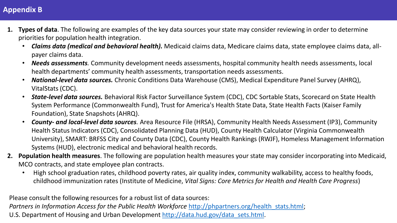## **Appendix B**

- **1. Types of data**. The following are examples of the key data sources your state may consider reviewing in order to determine priorities for population health integration.
	- *Claims data (medical and behavioral health).* Medicaid claims data, Medicare claims data, state employee claims data, allpayer claims data.
	- *Needs assessments.* Community development needs assessments, hospital community health needs assessments, local health departments' community health assessments, transportation needs assessments.
	- *National-level data sources.* Chronic Conditions Data Warehouse (CMS), Medical Expenditure Panel Survey (AHRQ), VitalStats (CDC).
	- *State-level data sources.* Behavioral Risk Factor Surveillance System (CDC), CDC Sortable Stats, Scorecard on State Health System Performance (Commonwealth Fund), Trust for America's Health State Data, State Health Facts (Kaiser Family Foundation), State Snapshots (AHRQ).
	- *County- and local-level data sources.* Area Resource File (HRSA), Community Health Needs Assessment (IP3), Community Health Status Indicators (CDC), Consolidated Planning Data (HUD), County Health Calculator (Virginia Commonwealth University), SMART: BRFSS City and County Data (CDC), County Health Rankings (RWJF), Homeless Management Information Systems (HUD), electronic medical and behavioral health records.
- **2. Population health measures**. The following are population health measures your state may consider incorporating into Medicaid, MCO contracts, and state employee plan contracts.
	- High school graduation rates, childhood poverty rates, air quality index, community walkability, access to healthy foods, childhood immunization rates (Institute of Medicine, *Vital Signs: Core Metrics for Health and Health Care Progress*)

Please consult the following resources for a robust list of data sources: *Partners in Information Access for the Public Health Workforce http://phpartners.org/health stats.html;* U.S. Department of Housing and Urban Development [http://data.hud.gov/data\\_sets.html.](http://data.hud.gov/data_sets.html)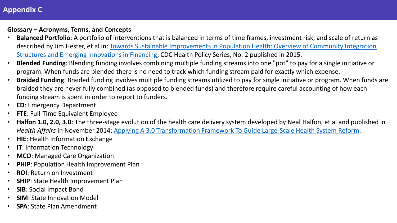# **Appendix C**

### **Glossary – Acronyms, Terms, and Concepts**

- **Balanced Portfolio**: A portfolio of interventions that is balanced in terms of time frames, investment risk, and scale of return as [described by Jim Hester, et al in: Towards Sustainable Improvements in Population Health: Overview of Community Integration](http://www.cdc.gov/policy/docs/financepaper.pdf)  Structures and Emerging Innovations in Financing, CDC Health Policy Series, No. 2 published in 2015.
- **Blended Funding**: Blending funding involves combining multiple funding streams into one "pot" to pay for a single initiative or program. When funds are blended there is no need to track which funding stream paid for exactly which expense.
- **Braided Funding**: Braided funding involves multiple funding streams utilized to pay for single initiative or program. When funds are braided they are never fully combined (as opposed to blended funds) and therefore require careful accounting of how each funding stream is spent in order to report to funders.
- **ED**: Emergency Department
- **FTE**: Full-Time Equivalent Employee
- **Halfon 1.0, 2.0, 3.0**: The three-stage evolution of the health care delivery system developed by Neal Halfon, et al and published in *Health Affairs* in November 2014: [Applying A 3.0 Transformation Framework To Guide Large-Scale Health System Reform.](http://content.healthaffairs.org/content/33/11/2003.full)
- **HIE**: Health Information Exchange
- **IT**: Information Technology
- **MCO**: Managed Care Organization
- **PHIP**: Population Health Improvement Plan
- **ROI**: Return on Investment
- **SHIP**: State Health Improvement Plan
- **SIB**: Social Impact Bond
- **SIM**: State Innovation Model
- **SPA**: State Plan Amendment